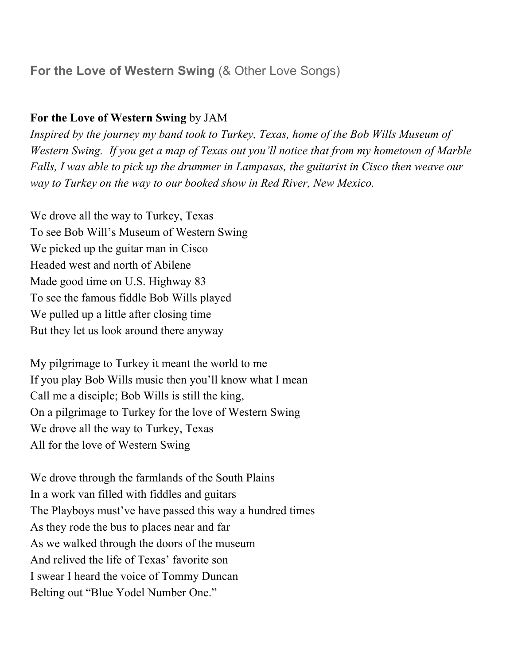# **For the Love of Western Swing** (& Other Love Songs)

#### **For the Love of Western Swing** by JAM

*Inspired by the journey my band took to Turkey, Texas, home of the Bob Wills Museum of Western Swing. If you get a map of Texas out you'll notice that from my hometown of Marble Falls, I was able to pick up the drummer in Lampasas, the guitarist in Cisco then weave our way to Turkey on the way to our booked show in Red River, New Mexico.*

We drove all the way to Turkey, Texas To see Bob Will's Museum of Western Swing We picked up the guitar man in Cisco Headed west and north of Abilene Made good time on U.S. Highway 83 To see the famous fiddle Bob Wills played We pulled up a little after closing time But they let us look around there anyway

My pilgrimage to Turkey it meant the world to me If you play Bob Wills music then you'll know what I mean Call me a disciple; Bob Wills is still the king, On a pilgrimage to Turkey for the love of Western Swing We drove all the way to Turkey, Texas All for the love of Western Swing

We drove through the farmlands of the South Plains In a work van filled with fiddles and guitars The Playboys must've have passed this way a hundred times As they rode the bus to places near and far As we walked through the doors of the museum And relived the life of Texas' favorite son I swear I heard the voice of Tommy Duncan Belting out "Blue Yodel Number One."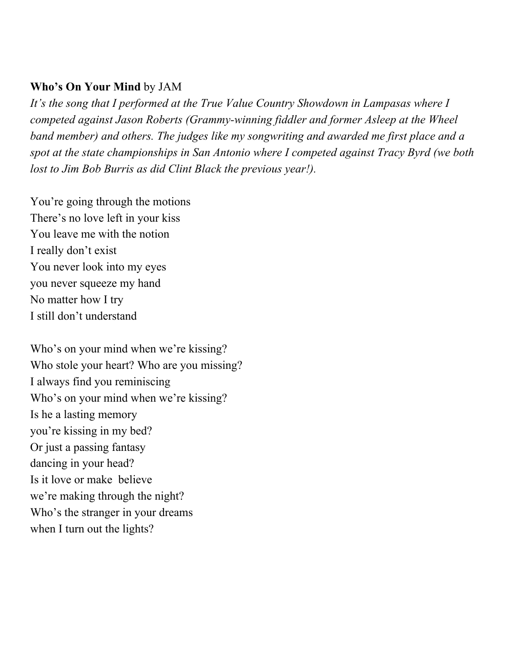#### **Who's On Your Mind** by JAM

*It's the song that I performed at the True Value Country Showdown in Lampasas where I competed against Jason Roberts (Grammy-winning fiddler and former Asleep at the Wheel band member) and others. The judges like my songwriting and awarded me first place and a spot at the state championships in San Antonio where I competed against Tracy Byrd (we both lost to Jim Bob Burris as did Clint Black the previous year!).*

You're going through the motions There's no love left in your kiss You leave me with the notion I really don't exist You never look into my eyes you never squeeze my hand No matter how I try I still don't understand

Who's on your mind when we're kissing? Who stole your heart? Who are you missing? I always find you reminiscing Who's on your mind when we're kissing? Is he a lasting memory you're kissing in my bed? Or just a passing fantasy dancing in your head? Is it love or make believe we're making through the night? Who's the stranger in your dreams when I turn out the lights?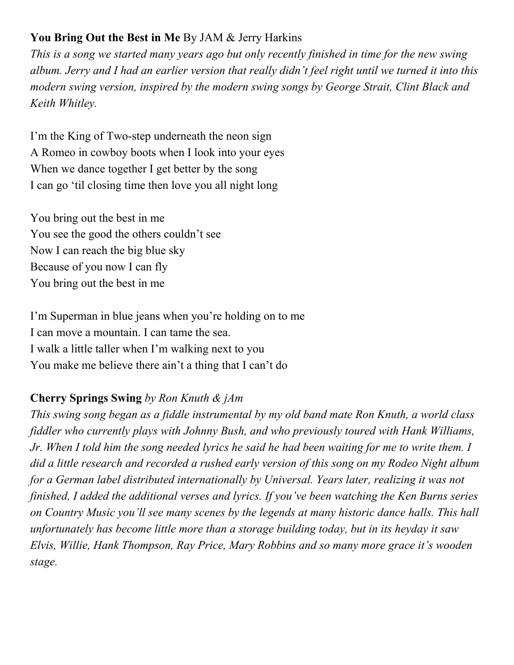## **You Bring Out the Best in Me** By JAM & Jerry Harkins

This is a song we started many years ago but only recently finished in time for the new swing album. Jerry and I had an earlier version that really didn't feel right until we turned it into this *modern swing version, inspired by the modern swing songs by George Strait, Clint Black and Keith Whitley.*

I'm the King of Two-step underneath the neon sign A Romeo in cowboy boots when I look into your eyes When we dance together I get better by the song I can go 'til closing time then love you all night long

You bring out the best in me You see the good the others couldn't see Now I can reach the big blue sky Because of you now I can fly You bring out the best in me

I'm Superman in blue jeans when you're holding on to me I can move a mountain. I can tame the sea. I walk a little taller when I'm walking next to you You make me believe there ain't a thing that I can't do

### **Cherry Springs Swing** *by Ron Knuth & jAm*

*This swing song began as a fiddle instrumental by my old band mate Ron Knuth, a world class fiddler who currently plays with Johnny Bush, and who previously toured with Hank Williams,* Jr. When I told him the song needed lyrics he said he had been waiting for me to write them. I *did a little research and recorded a rushed early version of this song on my Rodeo Night album for a German label distributed internationally by Universal. Years later, realizing it was not finished, I added the additional verses and lyrics. If you've been watching the Ken Burns series on Country Music you'll see many scenes by the legends at many historic dance halls. This hall unfortunately has become little more than a storage building today, but in its heyday it saw Elvis, Willie, Hank Thompson, Ray Price, Mary Robbins and so many more grace it's wooden stage.*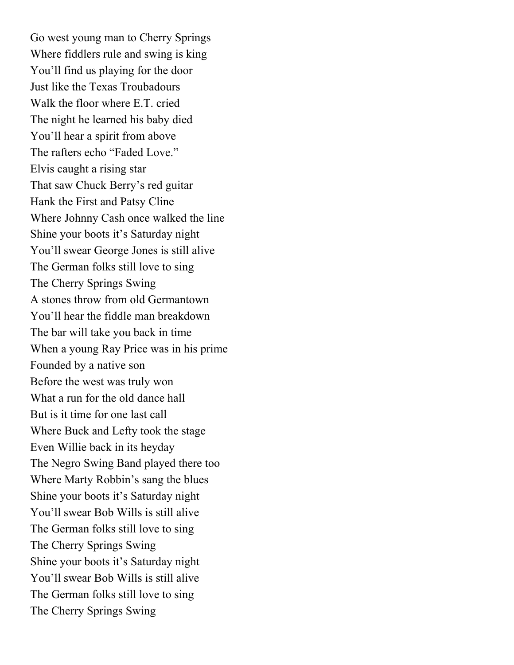Go west young man to Cherry Springs Where fiddlers rule and swing is king You'll find us playing for the door Just like the Texas Troubadours Walk the floor where E.T. cried The night he learned his baby died You'll hear a spirit from above The rafters echo "Faded Love." Elvis caught a rising star That saw Chuck Berry's red guitar Hank the First and Patsy Cline Where Johnny Cash once walked the line Shine your boots it's Saturday night You'll swear George Jones is still alive The German folks still love to sing The Cherry Springs Swing A stones throw from old Germantown You'll hear the fiddle man breakdown The bar will take you back in time When a young Ray Price was in his prime Founded by a native son Before the west was truly won What a run for the old dance hall But is it time for one last call Where Buck and Lefty took the stage Even Willie back in its heyday The Negro Swing Band played there too Where Marty Robbin's sang the blues Shine your boots it's Saturday night You'll swear Bob Wills is still alive The German folks still love to sing The Cherry Springs Swing Shine your boots it's Saturday night You'll swear Bob Wills is still alive The German folks still love to sing The Cherry Springs Swing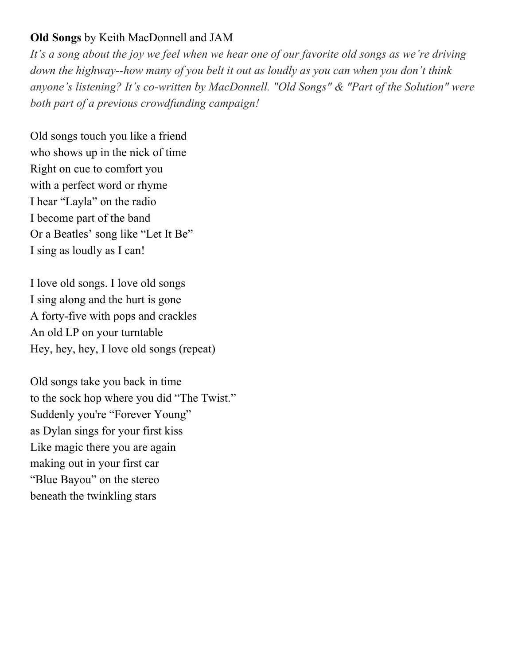### **Old Songs** by Keith MacDonnell and JAM

It's a song about the joy we feel when we hear one of our favorite old songs as we're driving *down the highway--how many of you belt it out as loudly as you can when you don't think anyone's listening? It's co-written by MacDonnell. "Old Songs" & "Part of the Solution" were both part of a previous crowdfunding campaign!*

Old songs touch you like a friend who shows up in the nick of time Right on cue to comfort you with a perfect word or rhyme I hear "Layla" on the radio I become part of the band Or a Beatles' song like "Let It Be" I sing as loudly as I can!

I love old songs. I love old songs I sing along and the hurt is gone A forty-five with pops and crackles An old LP on your turntable Hey, hey, hey, I love old songs (repeat)

Old songs take you back in time to the sock hop where you did "The Twist." Suddenly you're "Forever Young" as Dylan sings for your first kiss Like magic there you are again making out in your first car "Blue Bayou" on the stereo beneath the twinkling stars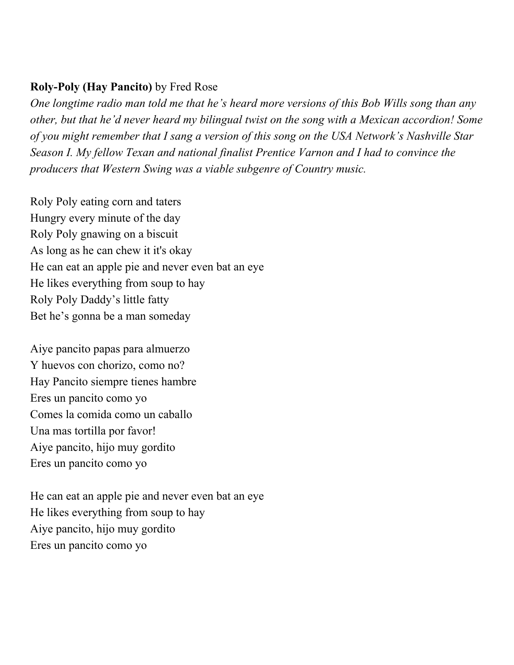### **Roly-Poly (Hay Pancito)** by Fred Rose

*One longtime radio man told me that he's heard more versions of this Bob Wills song than any other, but that he'd never heard my bilingual twist on the song with a Mexican accordion! Some of you might remember that I sang a version of this song on the USA Network's Nashville Star Season I. My fellow Texan and national finalist Prentice Varnon and I had to convince the producers that Western Swing was a viable subgenre of Country music.*

Roly Poly eating corn and taters Hungry every minute of the day Roly Poly gnawing on a biscuit As long as he can chew it it's okay He can eat an apple pie and never even bat an eye He likes everything from soup to hay Roly Poly Daddy's little fatty Bet he's gonna be a man someday

Aiye pancito papas para almuerzo Y huevos con chorizo, como no? Hay Pancito siempre tienes hambre Eres un pancito como yo Comes la comida como un caballo Una mas tortilla por favor! Aiye pancito, hijo muy gordito Eres un pancito como yo

He can eat an apple pie and never even bat an eye He likes everything from soup to hay Aiye pancito, hijo muy gordito Eres un pancito como yo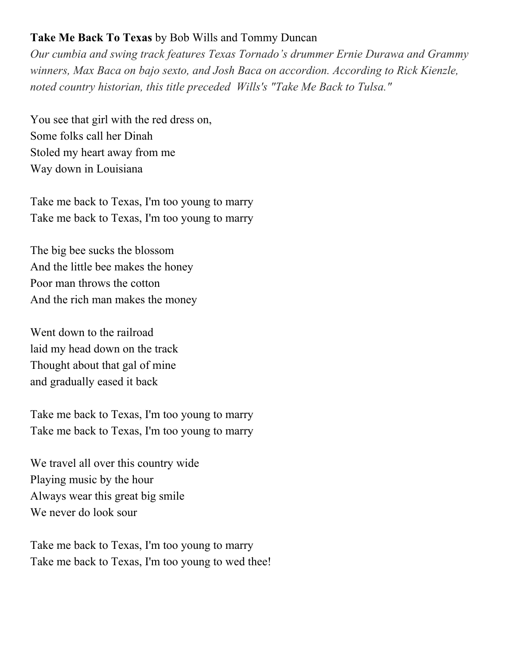### **Take Me Back To Texas** by Bob Wills and Tommy Duncan

*Our cumbia and swing track features Texas Tornado's drummer Ernie Durawa and Grammy winners, Max Baca on bajo sexto, and Josh Baca on accordion. According to Rick Kienzle, noted country historian, this title preceded Wills's "Take Me Back to Tulsa."*

You see that girl with the red [dress](https://www.definitions.net/definition/dress) on, Some [folks](https://www.definitions.net/definition/folks) call her Dinah Stoled my [heart](https://www.definitions.net/definition/heart) away from me Way down in Louisiana

Take me back to Texas, I'm too [young](https://www.definitions.net/definition/young) to marry Take me back to Texas, I'm too [young](https://www.definitions.net/definition/young) to marry

The big bee [sucks](https://www.definitions.net/definition/sucks) the blossom And the [little](https://www.definitions.net/definition/little) bee [makes](https://www.definitions.net/definition/makes) the honey Poor man [throws](https://www.definitions.net/definition/throws) the cotton And the rich man [makes](https://www.definitions.net/definition/makes) the money

Went down to the railroad laid my head down on the track Thought about that gal of mine and gradually eased it back

Take me back to Texas, I'm too [young](https://www.definitions.net/definition/young) to marry Take me back to Texas, I'm too [young](https://www.definitions.net/definition/young) to marry

We [travel](https://www.definitions.net/definition/travel) all over this [country](https://www.definitions.net/definition/country) wide Playing [music](https://www.definitions.net/definition/music) by the hour Always wear this [great](https://www.definitions.net/definition/great) big smile We [never](https://www.definitions.net/definition/never) do look sour

Take me back to Texas, I'm too [young](https://www.definitions.net/definition/young) to marry Take me back to Texas, I'm too [young](https://www.definitions.net/definition/young) to wed thee!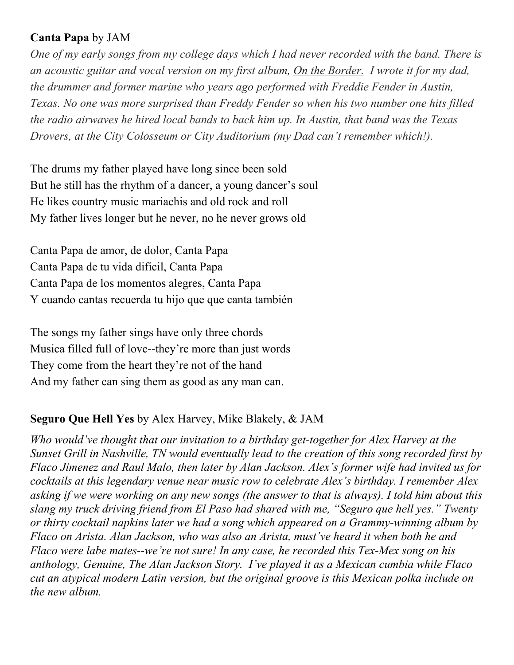### **Canta Papa** by JAM

One of my early songs from my college days which I had never recorded with the band. There is an acoustic guitar and vocal version on my first album, On the Border. I wrote it for my dad, *the drummer and former marine who years ago performed with Freddie Fender in Austin, Texas. No one was more surprised than Freddy Fender so when his two number one hits filled the radio airwaves he hired local bands to back him up. In Austin, that band was the Texas Drovers, at the City Colosseum or City Auditorium (my Dad can't remember which!).*

The drums my father played have long since been sold But he still has the rhythm of a dancer, a young dancer's soul He likes country music mariachis and old rock and roll My father lives longer but he never, no he never grows old

Canta Papa de amor, de dolor, Canta Papa Canta Papa de tu vida dificil, Canta Papa Canta Papa de los momentos alegres, Canta Papa Y cuando cantas recuerda tu hijo que que canta también

The songs my father sings have only three chords Musica filled full of love--they're more than just words They come from the heart they're not of the hand And my father can sing them as good as any man can.

# **Seguro Que Hell Yes** by Alex Harvey, Mike Blakely, & JAM

*Who would've thought that our invitation to a birthday get-together for Alex Harvey at the Sunset Grill in Nashville, TN would eventually lead to the creation of this song recorded first by Flaco Jimenez and Raul Malo, then later by Alan Jackson. Alex's former wife had invited us for cocktails at this legendary venue near music row to celebrate Alex's birthday. I remember Alex* asking if we were working on any new songs (the answer to that is always). I told him about this *slang my truck driving friend from El Paso had shared with me, "Seguro que hell yes." Twenty or thirty cocktail napkins later we had a song which appeared on a Grammy-winning album by Flaco on Arista. Alan Jackson, who was also an Arista, must've heard it when both he and Flaco were labe mates--we're not sure! In any case, he recorded this Tex-Mex song on his anthology, Genuine, The Alan Jackson Story. I've played it as a Mexican cumbia while Flaco cut an atypical modern Latin version, but the original groove is this Mexican polka include on the new album.*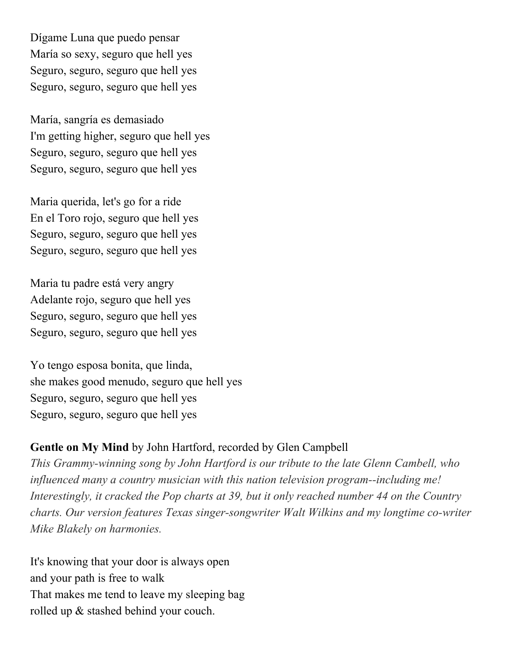Dígame Luna que puedo pensar María so sexy, seguro que hell yes Seguro, seguro, seguro que hell yes Seguro, seguro, seguro que hell yes

María, sangría es demasiado I'm getting higher, seguro que hell yes Seguro, seguro, seguro que hell yes Seguro, seguro, seguro que hell yes

Maria querida, let's go for a ride En el Toro rojo, seguro que hell yes Seguro, seguro, seguro que hell yes Seguro, seguro, seguro que hell yes

Maria tu padre está very angry Adelante rojo, seguro que hell yes Seguro, seguro, seguro que hell yes Seguro, seguro, seguro que hell yes

Yo tengo esposa bonita, que linda, she makes good menudo, seguro que hell yes Seguro, seguro, seguro que hell yes Seguro, seguro, seguro que hell yes

### **Gentle on My Mind** by John Hartford, recorded by Glen Campbell

*This Grammy-winning song by John Hartford is our tribute to the late Glenn Cambell, who influenced many a country musician with this nation television program--including me! Interestingly, it cracked the Pop charts at 39, but it only reached number 44 on the Country charts. Our version features Texas singer-songwriter Walt Wilkins and my longtime co-writer Mike Blakely on harmonies.*

It's knowing that your door is always open and your path is free to walk That makes me tend to leave my sleeping bag rolled up & stashed behind your couch.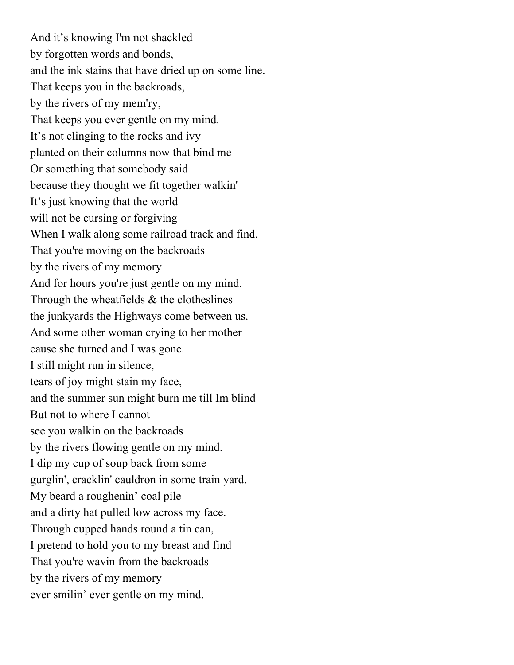And it's knowing I'm not shackled by forgotten words and bonds, and the ink stains that have dried up on some line. That keeps you in the backroads, by the rivers of my mem'ry, That keeps you ever gentle on my mind. It's not clinging to the rocks and ivy planted on their columns now that bind me Or something that somebody said because they thought we fit together walkin' It's just knowing that the world will not be cursing or forgiving When I walk along some railroad track and find. That you're moving on the backroads by the rivers of my memory And for hours you're just gentle on my mind. Through the wheatfields  $&$  the clotheslines the junkyards the Highways come between us. And some other woman crying to her mother cause she turned and I was gone. I still might run in silence, tears of joy might stain my face, and the summer sun might burn me till Im blind But not to where I cannot see you walkin on the backroads by the rivers flowing gentle on my mind. I dip my cup of soup back from some gurglin', cracklin' cauldron in some train yard. My beard a roughenin' coal pile and a dirty hat pulled low across my face. Through cupped hands round a tin can, I pretend to hold you to my breast and find That you're wavin from the backroads by the rivers of my memory ever smilin' ever gentle on my mind.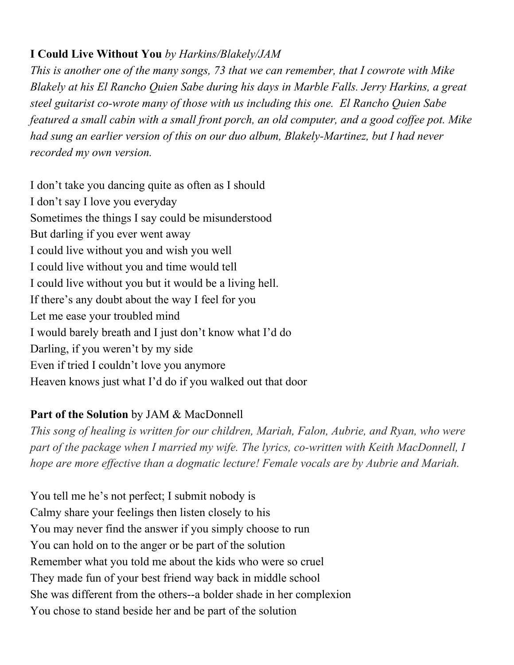## **I Could Live Without You** *by Harkins/Blakely/JAM*

*This is another one of the many songs, 73 that we can remember, that I cowrote with Mike Blakely at his El Rancho Quien Sabe during his days in Marble Falls. Jerry Harkins, a great steel guitarist co-wrote many of those with us including this one. El Rancho Quien Sabe* featured a small cabin with a small front porch, an old computer, and a good coffee pot. Mike *had sung an earlier version of this on our duo album, Blakely-Martinez, but I had never recorded my own version.*

I don't take you dancing quite as often as I should I don't say I love you everyday Sometimes the things I say could be misunderstood But darling if you ever went away I could live without you and wish you well I could live without you and time would tell I could live without you but it would be a living hell. If there's any doubt about the way I feel for you Let me ease your troubled mind I would barely breath and I just don't know what I'd do Darling, if you weren't by my side Even if tried I couldn't love you anymore Heaven knows just what I'd do if you walked out that door

# **Part of the Solution** by JAM & MacDonnell

*This song of healing is written for our children, Mariah, Falon, Aubrie, and Ryan, who were part of the package when I married my wife. The lyrics, co-written with Keith MacDonnell, I hope are more ef ective than a dogmatic lecture! Female vocals are by Aubrie and Mariah.*

You tell me he's not perfect; I submit nobody is Calmy share your feelings then listen closely to his You may never find the answer if you simply choose to run You can hold on to the anger or be part of the solution Remember what you told me about the kids who were so cruel They made fun of your best friend way back in middle school She was different from the others--a bolder shade in her complexion You chose to stand beside her and be part of the solution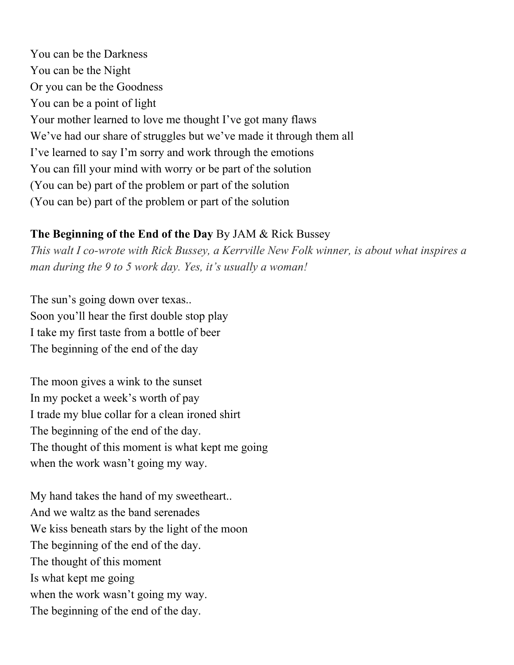You can be the Darkness You can be the Night Or you can be the Goodness You can be a point of light Your mother learned to love me thought I've got many flaws We've had our share of struggles but we've made it through them all I've learned to say I'm sorry and work through the emotions You can fill your mind with worry or be part of the solution (You can be) part of the problem or part of the solution (You can be) part of the problem or part of the solution

#### **The Beginning of the End of the Day** By JAM & Rick Bussey

*This walt I co-wrote with Rick Bussey, a Kerrville New Folk winner, is about what inspires a man during the 9 to 5 work day. Yes, it's usually a woman!*

The sun's going down over texas.. Soon you'll hear the first double stop play I take my first taste from a bottle of beer The beginning of the end of the day

The moon gives a wink to the sunset In my pocket a week's worth of pay I trade my blue collar for a clean ironed shirt The beginning of the end of the day. The thought of this moment is what kept me going when the work wasn't going my way.

My hand takes the hand of my sweetheart.. And we waltz as the band serenades We kiss beneath stars by the light of the moon The beginning of the end of the day. The thought of this moment Is what kept me going when the work wasn't going my way. The beginning of the end of the day.